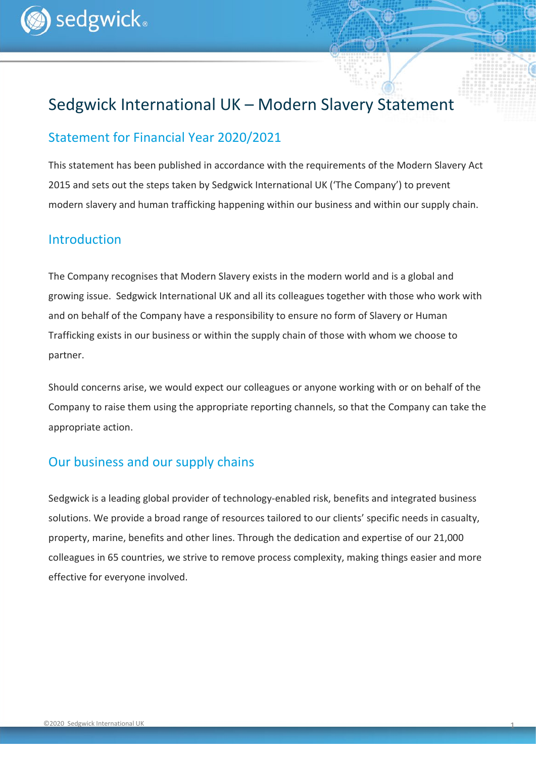# Sedgwick International UK – Modern Slavery Statement

### Statement for Financial Year 2020/2021

This statement has been published in accordance with the requirements of the Modern Slavery Act 2015 and sets out the steps taken by Sedgwick International UK ('The Company') to prevent modern slavery and human trafficking happening within our business and within our supply chain.

#### Introduction

The Company recognises that Modern Slavery exists in the modern world and is a global and growing issue. Sedgwick International UK and all its colleagues together with those who work with and on behalf of the Company have a responsibility to ensure no form of Slavery or Human Trafficking exists in our business or within the supply chain of those with whom we choose to partner.

Should concerns arise, we would expect our colleagues or anyone working with or on behalf of the Company to raise them using the appropriate reporting channels, so that the Company can take the appropriate action.

## Our business and our supply chains

Sedgwick is a leading global provider of technology-enabled risk, benefits and integrated business solutions. We provide a broad range of resources tailored to our clients' specific needs in casualty, property, marine, benefits and other lines. Through the dedication and expertise of our 21,000 colleagues in 65 countries, we strive to remove process complexity, making things easier and more effective for everyone involved.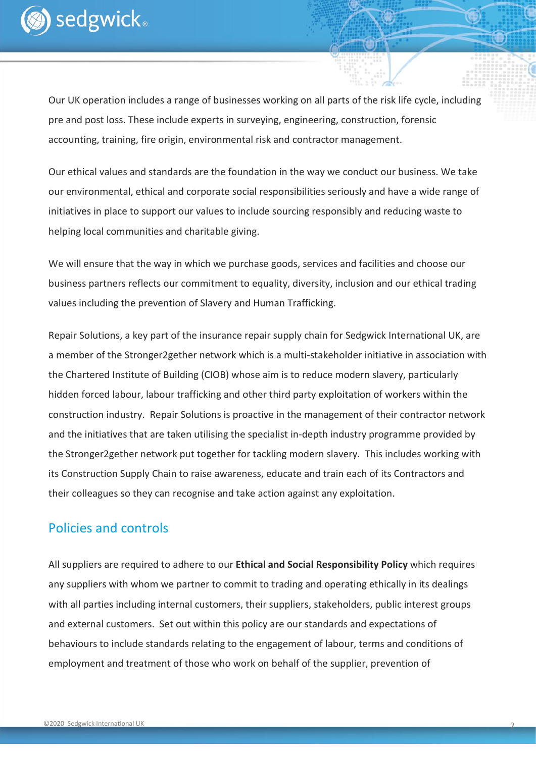

Our UK operation includes a range of businesses working on all parts of the risk life cycle, including pre and post loss. These include experts in surveying, engineering, construction, forensic accounting, training, fire origin, environmental risk and contractor management.

Our ethical values and standards are the foundation in the way we conduct our business. We take our environmental, ethical and corporate social responsibilities seriously and have a wide range of initiatives in place to support our values to include sourcing responsibly and reducing waste to helping local communities and charitable giving.

We will ensure that the way in which we purchase goods, services and facilities and choose our business partners reflects our commitment to equality, diversity, inclusion and our ethical trading values including the prevention of Slavery and Human Trafficking.

Repair Solutions, a key part of the insurance repair supply chain for Sedgwick International UK, are a member of the Stronger2gether network which is a multi-stakeholder initiative in association with the Chartered Institute of Building (CIOB) whose aim is to reduce modern slavery, particularly hidden forced labour, labour trafficking and other third party exploitation of workers within the construction industry. Repair Solutions is proactive in the management of their contractor network and the initiatives that are taken utilising the specialist in-depth industry programme provided by the Stronger2gether network put together for tackling modern slavery. This includes working with its Construction Supply Chain to raise awareness, educate and train each of its Contractors and their colleagues so they can recognise and take action against any exploitation.

#### Policies and controls

All suppliers are required to adhere to our **Ethical and Social Responsibility Policy** which requires any suppliers with whom we partner to commit to trading and operating ethically in its dealings with all parties including internal customers, their suppliers, stakeholders, public interest groups and external customers. Set out within this policy are our standards and expectations of behaviours to include standards relating to the engagement of labour, terms and conditions of employment and treatment of those who work on behalf of the supplier, prevention of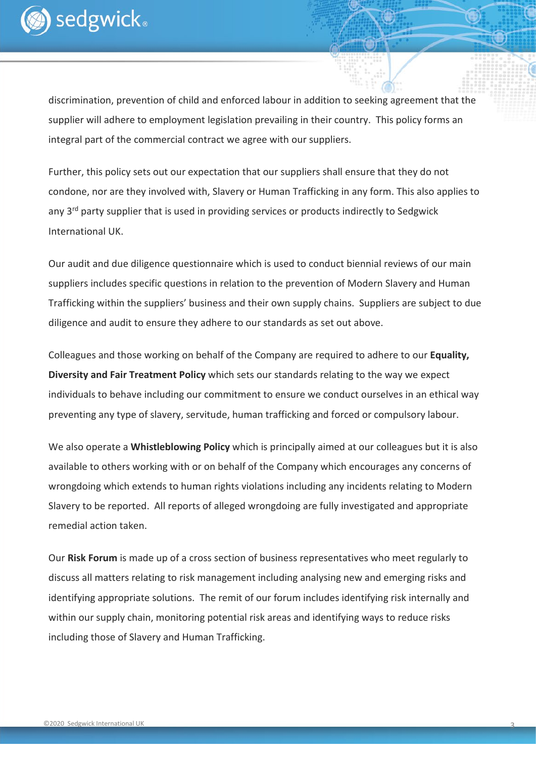

discrimination, prevention of child and enforced labour in addition to seeking agreement that the supplier will adhere to employment legislation prevailing in their country. This policy forms an integral part of the commercial contract we agree with our suppliers.

Further, this policy sets out our expectation that our suppliers shall ensure that they do not condone, nor are they involved with, Slavery or Human Trafficking in any form. This also applies to any 3<sup>rd</sup> party supplier that is used in providing services or products indirectly to Sedgwick International UK.

Our audit and due diligence questionnaire which is used to conduct biennial reviews of our main suppliers includes specific questions in relation to the prevention of Modern Slavery and Human Trafficking within the suppliers' business and their own supply chains. Suppliers are subject to due diligence and audit to ensure they adhere to our standards as set out above.

Colleagues and those working on behalf of the Company are required to adhere to our **Equality, Diversity and Fair Treatment Policy** which sets our standards relating to the way we expect individuals to behave including our commitment to ensure we conduct ourselves in an ethical way preventing any type of slavery, servitude, human trafficking and forced or compulsory labour.

We also operate a **Whistleblowing Policy** which is principally aimed at our colleagues but it is also available to others working with or on behalf of the Company which encourages any concerns of wrongdoing which extends to human rights violations including any incidents relating to Modern Slavery to be reported. All reports of alleged wrongdoing are fully investigated and appropriate remedial action taken.

Our **Risk Forum** is made up of a cross section of business representatives who meet regularly to discuss all matters relating to risk management including analysing new and emerging risks and identifying appropriate solutions. The remit of our forum includes identifying risk internally and within our supply chain, monitoring potential risk areas and identifying ways to reduce risks including those of Slavery and Human Trafficking.